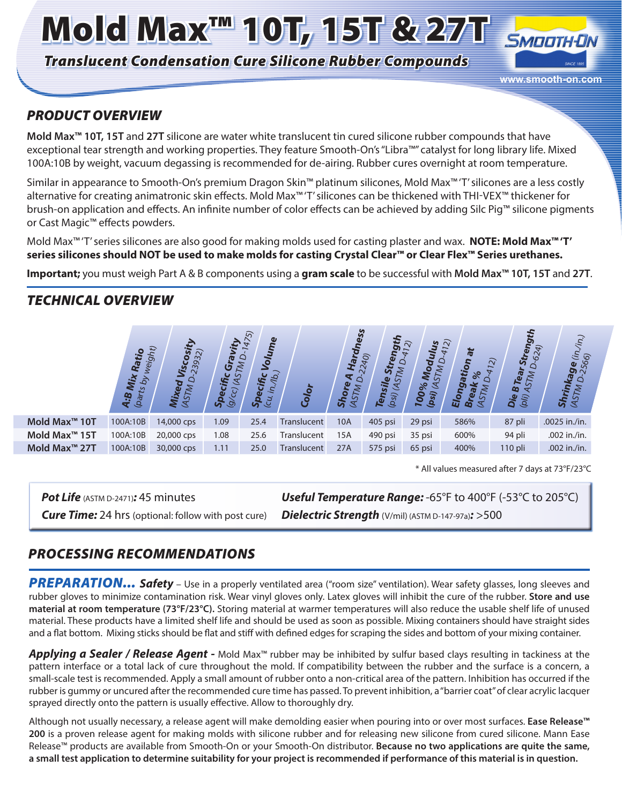# Mold Max™ 10T, 15T & 27T

*Translucent Condensation Cure Silicone Rubber Compounds*



#### *PRODUCT OVERVIEW*

**Mold Max™ 10T, 15T** and **27T** silicone are water white translucent tin cured silicone rubber compounds that have exceptional tear strength and working properties. They feature Smooth-On's "Libra™" catalyst for long library life. Mixed 100A:10B by weight, vacuum degassing is recommended for de-airing. Rubber cures overnight at room temperature.

Similar in appearance to Smooth-On's premium Dragon Skin™ platinum silicones, Mold Max™ 'T' silicones are a less costly alternative for creating animatronic skin effects. Mold Max™ 'T' silicones can be thickened with THI-VEX™ thickener for brush-on application and effects. An infinite number of color effects can be achieved by adding Silc Pig™ silicone pigments or Cast Magic™ effects powders.

Mold Max™ 'T' series silicones are also good for making molds used for casting plaster and wax. **NOTE: Mold Max™ 'T' series silicones should NOT be used to make molds for casting Crystal Clear™ or Clear Flex™ Series urethanes.**

**Important;** you must weigh Part A & B components using a **gram scale** to be successful with **Mold Max™ 10T, 15T** and **27T**.

### *TECHNICAL OVERVIEW*



<sup>\*</sup> All values measured after 7 days at 73°F/23°C

*Pot Life* (ASTM D-2471)*:* 45 minutes

*Cure Time:* 24 hrs (optional: follow with post cure) *Dielectric Strength* (V/mil) (ASTM D-147-97a)*:* >500 *Useful Temperature Range:* -65°F to 400°F (-53°C to 205°C)

#### *PROCESSING RECOMMENDATIONS*

*PREPARATION... Safety* – Use in a properly ventilated area ("room size" ventilation). Wear safety glasses, long sleeves and rubber gloves to minimize contamination risk. Wear vinyl gloves only. Latex gloves will inhibit the cure of the rubber. **Store and use material at room temperature (73°F/23°C).** Storing material at warmer temperatures will also reduce the usable shelf life of unused material. These products have a limited shelf life and should be used as soon as possible. Mixing containers should have straight sides and a flat bottom. Mixing sticks should be flat and stiff with defined edges for scraping the sides and bottom of your mixing container.

*Applying a Sealer / Release Agent -* Mold Max™ rubber may be inhibited by sulfur based clays resulting in tackiness at the pattern interface or a total lack of cure throughout the mold. If compatibility between the rubber and the surface is a concern, a small-scale test is recommended. Apply a small amount of rubber onto a non-critical area of the pattern. Inhibition has occurred if the rubber is gummy or uncured after the recommended cure time has passed. To prevent inhibition, a "barrier coat" of clear acrylic lacquer sprayed directly onto the pattern is usually effective. Allow to thoroughly dry.

Although not usually necessary, a release agent will make demolding easier when pouring into or over most surfaces. **Ease Release™ 200** is a proven release agent for making molds with silicone rubber and for releasing new silicone from cured silicone. Mann Ease Release™ products are available from Smooth-On or your Smooth-On distributor. **Because no two applications are quite the same, a small test application to determine suitability for your project is recommended if performance of this material is in question.**